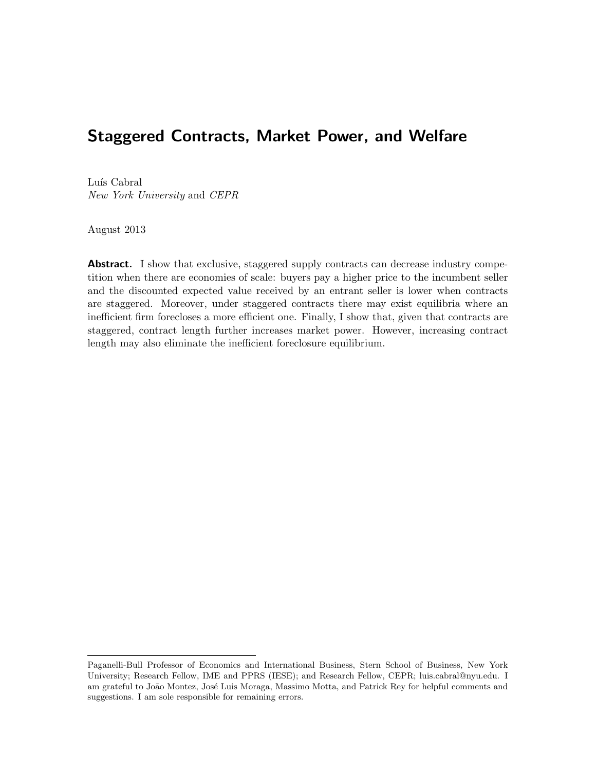# Staggered Contracts, Market Power, and Welfare

Luís Cabral New York University and CEPR

August 2013

**Abstract.** I show that exclusive, staggered supply contracts can decrease industry competition when there are economies of scale: buyers pay a higher price to the incumbent seller and the discounted expected value received by an entrant seller is lower when contracts are staggered. Moreover, under staggered contracts there may exist equilibria where an inefficient firm forecloses a more efficient one. Finally, I show that, given that contracts are staggered, contract length further increases market power. However, increasing contract length may also eliminate the inefficient foreclosure equilibrium.

Paganelli-Bull Professor of Economics and International Business, Stern School of Business, New York University; Research Fellow, IME and PPRS (IESE); and Research Fellow, CEPR; luis.cabral@nyu.edu. I am grateful to João Montez, José Luis Moraga, Massimo Motta, and Patrick Rey for helpful comments and suggestions. I am sole responsible for remaining errors.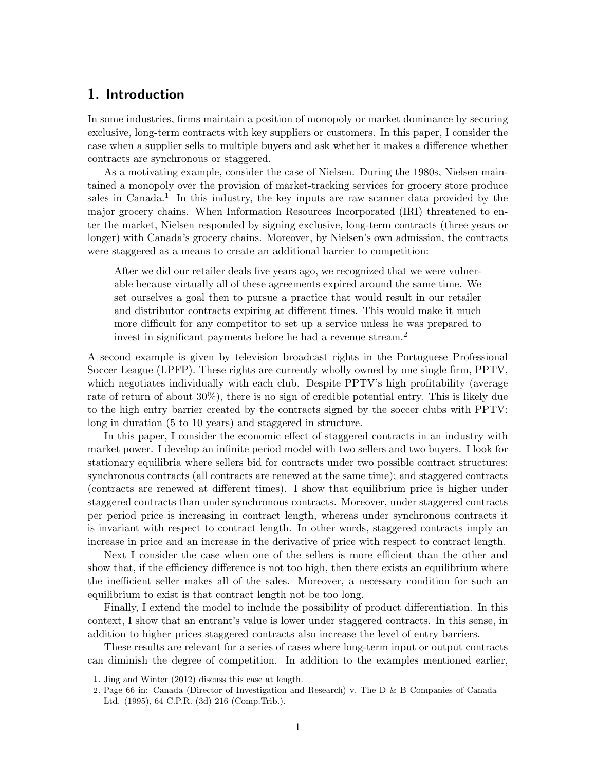## 1. Introduction

In some industries, firms maintain a position of monopoly or market dominance by securing exclusive, long-term contracts with key suppliers or customers. In this paper, I consider the case when a supplier sells to multiple buyers and ask whether it makes a difference whether contracts are synchronous or staggered.

As a motivating example, consider the case of Nielsen. During the 1980s, Nielsen maintained a monopoly over the provision of market-tracking services for grocery store produce sales in Canada.<sup>1</sup> In this industry, the key inputs are raw scanner data provided by the major grocery chains. When Information Resources Incorporated (IRI) threatened to enter the market, Nielsen responded by signing exclusive, long-term contracts (three years or longer) with Canada's grocery chains. Moreover, by Nielsen's own admission, the contracts were staggered as a means to create an additional barrier to competition:

After we did our retailer deals five years ago, we recognized that we were vulnerable because virtually all of these agreements expired around the same time. We set ourselves a goal then to pursue a practice that would result in our retailer and distributor contracts expiring at different times. This would make it much more difficult for any competitor to set up a service unless he was prepared to invest in significant payments before he had a revenue stream.<sup>2</sup>

A second example is given by television broadcast rights in the Portuguese Professional Soccer League (LPFP). These rights are currently wholly owned by one single firm, PPTV, which negotiates individually with each club. Despite PPTV's high profitability (average rate of return of about 30%), there is no sign of credible potential entry. This is likely due to the high entry barrier created by the contracts signed by the soccer clubs with PPTV: long in duration (5 to 10 years) and staggered in structure.

In this paper, I consider the economic effect of staggered contracts in an industry with market power. I develop an infinite period model with two sellers and two buyers. I look for stationary equilibria where sellers bid for contracts under two possible contract structures: synchronous contracts (all contracts are renewed at the same time); and staggered contracts (contracts are renewed at different times). I show that equilibrium price is higher under staggered contracts than under synchronous contracts. Moreover, under staggered contracts per period price is increasing in contract length, whereas under synchronous contracts it is invariant with respect to contract length. In other words, staggered contracts imply an increase in price and an increase in the derivative of price with respect to contract length.

Next I consider the case when one of the sellers is more efficient than the other and show that, if the efficiency difference is not too high, then there exists an equilibrium where the inefficient seller makes all of the sales. Moreover, a necessary condition for such an equilibrium to exist is that contract length not be too long.

Finally, I extend the model to include the possibility of product differentiation. In this context, I show that an entrant's value is lower under staggered contracts. In this sense, in addition to higher prices staggered contracts also increase the level of entry barriers.

These results are relevant for a series of cases where long-term input or output contracts can diminish the degree of competition. In addition to the examples mentioned earlier,

<sup>1</sup>. Jing and Winter (2012) discuss this case at length.

<sup>2</sup>. Page 66 in: Canada (Director of Investigation and Research) v. The D & B Companies of Canada Ltd. (1995), 64 C.P.R. (3d) 216 (Comp.Trib.).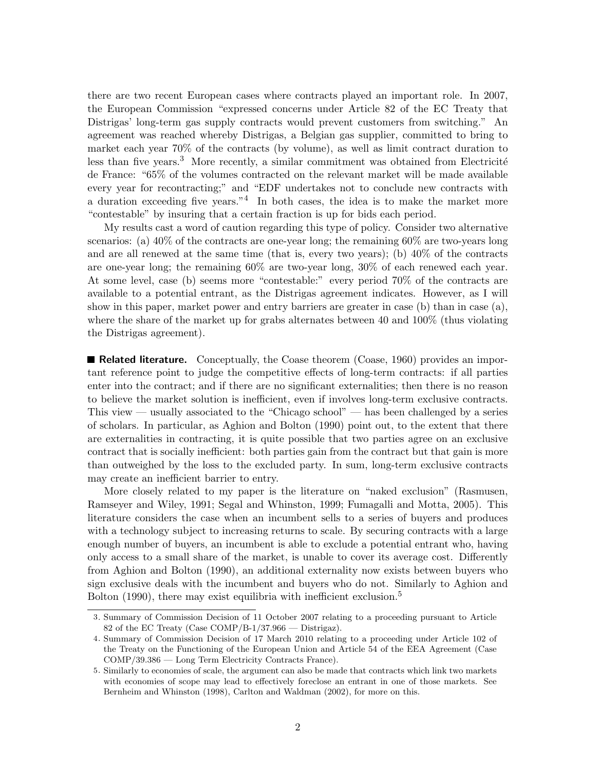there are two recent European cases where contracts played an important role. In 2007, the European Commission "expressed concerns under Article 82 of the EC Treaty that Distrigas' long-term gas supply contracts would prevent customers from switching." An agreement was reached whereby Distrigas, a Belgian gas supplier, committed to bring to market each year 70% of the contracts (by volume), as well as limit contract duration to less than five years. $3$  More recently, a similar commitment was obtained from Electricité de France: "65% of the volumes contracted on the relevant market will be made available every year for recontracting;" and "EDF undertakes not to conclude new contracts with a duration exceeding five years.<sup>"4</sup> In both cases, the idea is to make the market more "contestable" by insuring that a certain fraction is up for bids each period.

My results cast a word of caution regarding this type of policy. Consider two alternative scenarios: (a) 40% of the contracts are one-year long; the remaining 60% are two-years long and are all renewed at the same time (that is, every two years); (b)  $40\%$  of the contracts are one-year long; the remaining 60% are two-year long, 30% of each renewed each year. At some level, case (b) seems more "contestable:" every period 70% of the contracts are available to a potential entrant, as the Distrigas agreement indicates. However, as I will show in this paper, market power and entry barriers are greater in case (b) than in case (a), where the share of the market up for grabs alternates between 40 and 100% (thus violating the Distrigas agreement).

**Related literature.** Conceptually, the Coase theorem (Coase, 1960) provides an important reference point to judge the competitive effects of long-term contracts: if all parties enter into the contract; and if there are no significant externalities; then there is no reason to believe the market solution is inefficient, even if involves long-term exclusive contracts. This view — usually associated to the "Chicago school" — has been challenged by a series of scholars. In particular, as Aghion and Bolton (1990) point out, to the extent that there are externalities in contracting, it is quite possible that two parties agree on an exclusive contract that is socially inefficient: both parties gain from the contract but that gain is more than outweighed by the loss to the excluded party. In sum, long-term exclusive contracts may create an inefficient barrier to entry.

More closely related to my paper is the literature on "naked exclusion" (Rasmusen, Ramseyer and Wiley, 1991; Segal and Whinston, 1999; Fumagalli and Motta, 2005). This literature considers the case when an incumbent sells to a series of buyers and produces with a technology subject to increasing returns to scale. By securing contracts with a large enough number of buyers, an incumbent is able to exclude a potential entrant who, having only access to a small share of the market, is unable to cover its average cost. Differently from Aghion and Bolton (1990), an additional externality now exists between buyers who sign exclusive deals with the incumbent and buyers who do not. Similarly to Aghion and Bolton  $(1990)$ , there may exist equilibria with inefficient exclusion.<sup>5</sup>

<sup>3</sup>. Summary of Commission Decision of 11 October 2007 relating to a proceeding pursuant to Article 82 of the EC Treaty (Case COMP/B-1/37.966 — Distrigaz).

<sup>4</sup>. Summary of Commission Decision of 17 March 2010 relating to a proceeding under Article 102 of the Treaty on the Functioning of the European Union and Article 54 of the EEA Agreement (Case COMP/39.386 — Long Term Electricity Contracts France).

<sup>5</sup>. Similarly to economies of scale, the argument can also be made that contracts which link two markets with economies of scope may lead to effectively foreclose an entrant in one of those markets. See Bernheim and Whinston (1998), Carlton and Waldman (2002), for more on this.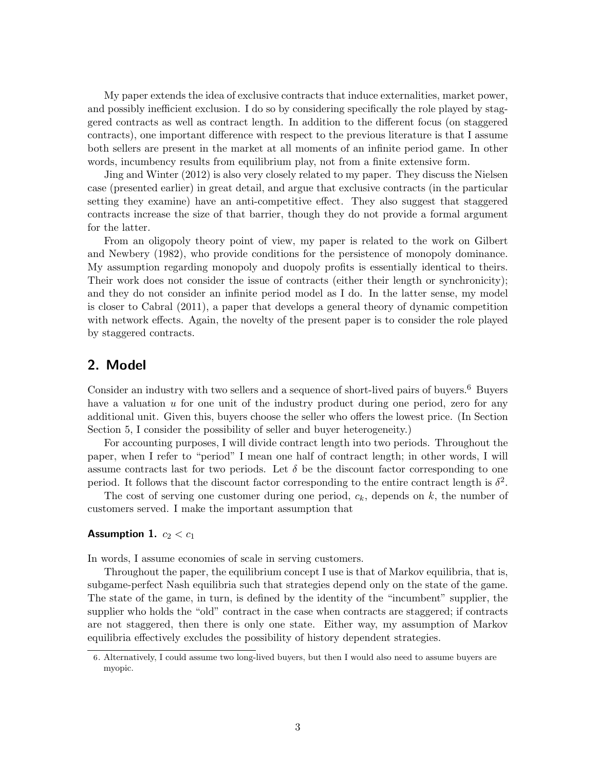My paper extends the idea of exclusive contracts that induce externalities, market power, and possibly inefficient exclusion. I do so by considering specifically the role played by staggered contracts as well as contract length. In addition to the different focus (on staggered contracts), one important difference with respect to the previous literature is that I assume both sellers are present in the market at all moments of an infinite period game. In other words, incumbency results from equilibrium play, not from a finite extensive form.

Jing and Winter (2012) is also very closely related to my paper. They discuss the Nielsen case (presented earlier) in great detail, and argue that exclusive contracts (in the particular setting they examine) have an anti-competitive effect. They also suggest that staggered contracts increase the size of that barrier, though they do not provide a formal argument for the latter.

From an oligopoly theory point of view, my paper is related to the work on Gilbert and Newbery (1982), who provide conditions for the persistence of monopoly dominance. My assumption regarding monopoly and duopoly profits is essentially identical to theirs. Their work does not consider the issue of contracts (either their length or synchronicity); and they do not consider an infinite period model as I do. In the latter sense, my model is closer to Cabral (2011), a paper that develops a general theory of dynamic competition with network effects. Again, the novelty of the present paper is to consider the role played by staggered contracts.

## 2. Model

Consider an industry with two sellers and a sequence of short-lived pairs of buyers.<sup>6</sup> Buyers have a valuation  $u$  for one unit of the industry product during one period, zero for any additional unit. Given this, buyers choose the seller who offers the lowest price. (In Section Section 5, I consider the possibility of seller and buyer heterogeneity.)

For accounting purposes, I will divide contract length into two periods. Throughout the paper, when I refer to "period" I mean one half of contract length; in other words, I will assume contracts last for two periods. Let  $\delta$  be the discount factor corresponding to one period. It follows that the discount factor corresponding to the entire contract length is  $\delta^2$ .

The cost of serving one customer during one period,  $c_k$ , depends on k, the number of customers served. I make the important assumption that

#### **Assumption 1.**  $c_2 < c_1$

In words, I assume economies of scale in serving customers.

Throughout the paper, the equilibrium concept I use is that of Markov equilibria, that is, subgame-perfect Nash equilibria such that strategies depend only on the state of the game. The state of the game, in turn, is defined by the identity of the "incumbent" supplier, the supplier who holds the "old" contract in the case when contracts are staggered; if contracts are not staggered, then there is only one state. Either way, my assumption of Markov equilibria effectively excludes the possibility of history dependent strategies.

<sup>6</sup>. Alternatively, I could assume two long-lived buyers, but then I would also need to assume buyers are myopic.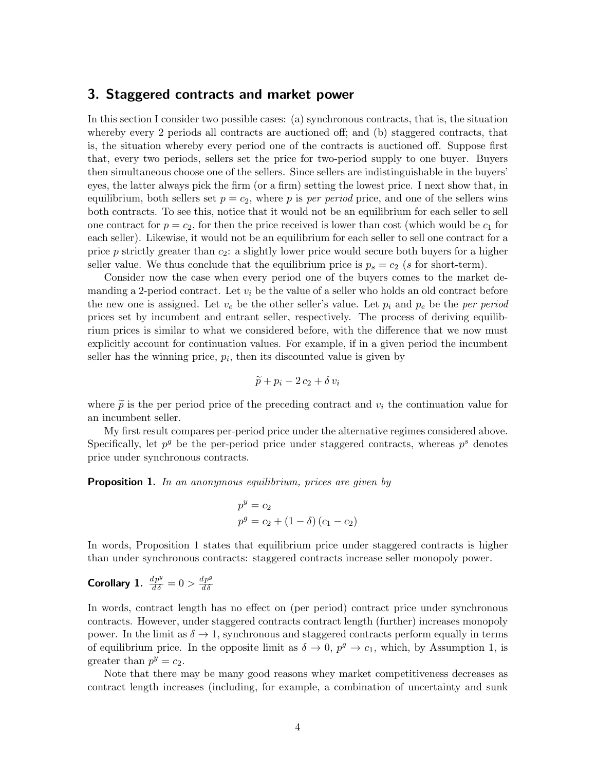### 3. Staggered contracts and market power

In this section I consider two possible cases: (a) synchronous contracts, that is, the situation whereby every 2 periods all contracts are auctioned off; and (b) staggered contracts, that is, the situation whereby every period one of the contracts is auctioned off. Suppose first that, every two periods, sellers set the price for two-period supply to one buyer. Buyers then simultaneous choose one of the sellers. Since sellers are indistinguishable in the buyers' eyes, the latter always pick the firm (or a firm) setting the lowest price. I next show that, in equilibrium, both sellers set  $p = c_2$ , where p is per period price, and one of the sellers wins both contracts. To see this, notice that it would not be an equilibrium for each seller to sell one contract for  $p = c_2$ , for then the price received is lower than cost (which would be  $c_1$  for each seller). Likewise, it would not be an equilibrium for each seller to sell one contract for a price p strictly greater than  $c_2$ : a slightly lower price would secure both buyers for a higher seller value. We thus conclude that the equilibrium price is  $p_s = c_2$  (s for short-term).

Consider now the case when every period one of the buyers comes to the market demanding a 2-period contract. Let  $v_i$  be the value of a seller who holds an old contract before the new one is assigned. Let  $v_e$  be the other seller's value. Let  $p_i$  and  $p_e$  be the per period prices set by incumbent and entrant seller, respectively. The process of deriving equilibrium prices is similar to what we considered before, with the difference that we now must explicitly account for continuation values. For example, if in a given period the incumbent seller has the winning price,  $p_i$ , then its discounted value is given by

$$
\widetilde{p} + p_i - 2c_2 + \delta v_i
$$

where  $\tilde{p}$  is the per period price of the preceding contract and  $v_i$  the continuation value for an incumbent seller.

My first result compares per-period price under the alternative regimes considered above. Specifically, let  $p^g$  be the per-period price under staggered contracts, whereas  $p^s$  denotes price under synchronous contracts.

**Proposition 1.** In an anonymous equilibrium, prices are given by

$$
p^{y} = c_{2}
$$
  

$$
p^{g} = c_{2} + (1 - \delta) (c_{1} - c_{2})
$$

In words, Proposition 1 states that equilibrium price under staggered contracts is higher than under synchronous contracts: staggered contracts increase seller monopoly power.

#### Corollary 1.  $\frac{dp^y}{d\delta} = 0 > \frac{dp^g}{d\delta}$  $d\delta$

In words, contract length has no effect on (per period) contract price under synchronous contracts. However, under staggered contracts contract length (further) increases monopoly power. In the limit as  $\delta \to 1$ , synchronous and staggered contracts perform equally in terms of equilibrium price. In the opposite limit as  $\delta \to 0$ ,  $p^g \to c_1$ , which, by Assumption 1, is greater than  $p^y = c_2$ .

Note that there may be many good reasons whey market competitiveness decreases as contract length increases (including, for example, a combination of uncertainty and sunk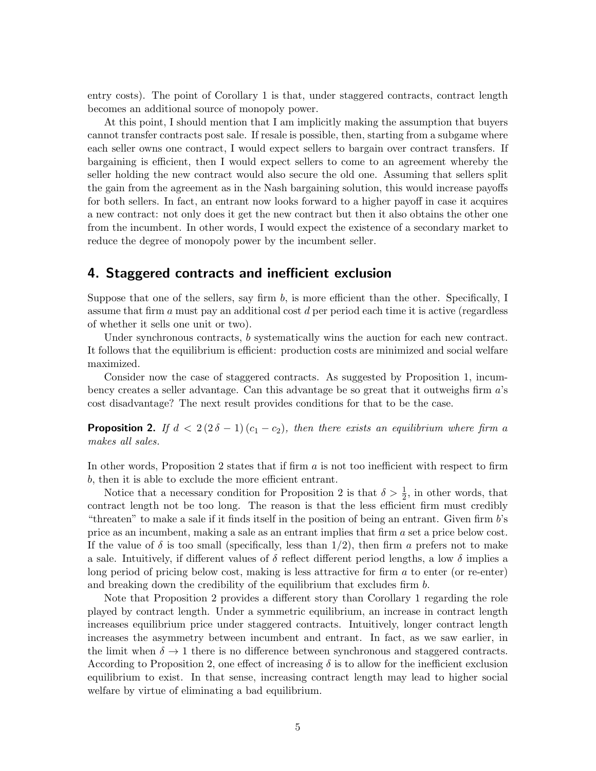entry costs). The point of Corollary 1 is that, under staggered contracts, contract length becomes an additional source of monopoly power.

At this point, I should mention that I am implicitly making the assumption that buyers cannot transfer contracts post sale. If resale is possible, then, starting from a subgame where each seller owns one contract, I would expect sellers to bargain over contract transfers. If bargaining is efficient, then I would expect sellers to come to an agreement whereby the seller holding the new contract would also secure the old one. Assuming that sellers split the gain from the agreement as in the Nash bargaining solution, this would increase payoffs for both sellers. In fact, an entrant now looks forward to a higher payoff in case it acquires a new contract: not only does it get the new contract but then it also obtains the other one from the incumbent. In other words, I would expect the existence of a secondary market to reduce the degree of monopoly power by the incumbent seller.

#### 4. Staggered contracts and inefficient exclusion

Suppose that one of the sellers, say firm  $b$ , is more efficient than the other. Specifically, I assume that firm  $a$  must pay an additional cost  $d$  per period each time it is active (regardless of whether it sells one unit or two).

Under synchronous contracts, b systematically wins the auction for each new contract. It follows that the equilibrium is efficient: production costs are minimized and social welfare maximized.

Consider now the case of staggered contracts. As suggested by Proposition 1, incumbency creates a seller advantage. Can this advantage be so great that it outweighs firm a's cost disadvantage? The next result provides conditions for that to be the case.

**Proposition 2.** If  $d < 2(2\delta - 1)(c_1 - c_2)$ , then there exists an equilibrium where firm a makes all sales.

In other words, Proposition 2 states that if firm  $a$  is not too inefficient with respect to firm b, then it is able to exclude the more efficient entrant.

Notice that a necessary condition for Proposition 2 is that  $\delta > \frac{1}{2}$ , in other words, that contract length not be too long. The reason is that the less efficient firm must credibly "threaten" to make a sale if it finds itself in the position of being an entrant. Given firm b's price as an incumbent, making a sale as an entrant implies that firm a set a price below cost. If the value of  $\delta$  is too small (specifically, less than  $1/2$ ), then firm a prefers not to make a sale. Intuitively, if different values of  $\delta$  reflect different period lengths, a low  $\delta$  implies a long period of pricing below cost, making is less attractive for firm  $a$  to enter (or re-enter) and breaking down the credibility of the equilibrium that excludes firm b.

Note that Proposition 2 provides a different story than Corollary 1 regarding the role played by contract length. Under a symmetric equilibrium, an increase in contract length increases equilibrium price under staggered contracts. Intuitively, longer contract length increases the asymmetry between incumbent and entrant. In fact, as we saw earlier, in the limit when  $\delta \to 1$  there is no difference between synchronous and staggered contracts. According to Proposition 2, one effect of increasing  $\delta$  is to allow for the inefficient exclusion equilibrium to exist. In that sense, increasing contract length may lead to higher social welfare by virtue of eliminating a bad equilibrium.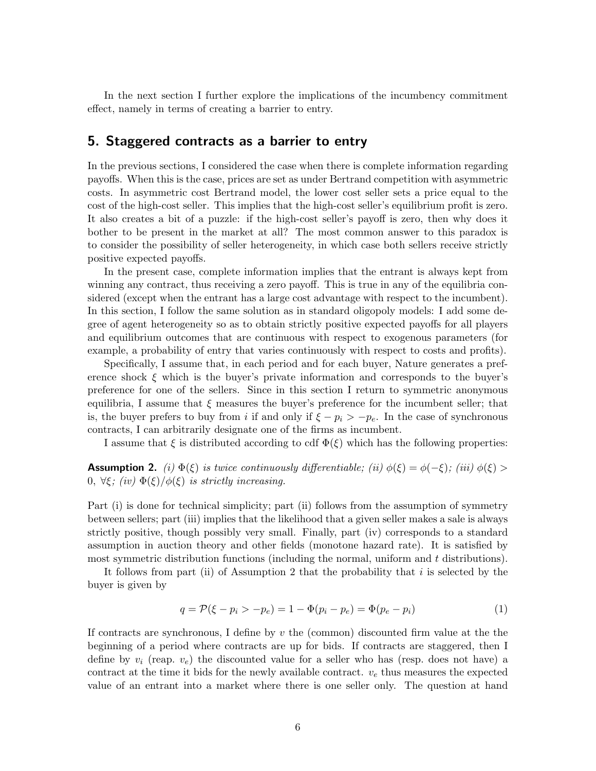In the next section I further explore the implications of the incumbency commitment effect, namely in terms of creating a barrier to entry.

### 5. Staggered contracts as a barrier to entry

In the previous sections, I considered the case when there is complete information regarding payoffs. When this is the case, prices are set as under Bertrand competition with asymmetric costs. In asymmetric cost Bertrand model, the lower cost seller sets a price equal to the cost of the high-cost seller. This implies that the high-cost seller's equilibrium profit is zero. It also creates a bit of a puzzle: if the high-cost seller's payoff is zero, then why does it bother to be present in the market at all? The most common answer to this paradox is to consider the possibility of seller heterogeneity, in which case both sellers receive strictly positive expected payoffs.

In the present case, complete information implies that the entrant is always kept from winning any contract, thus receiving a zero payoff. This is true in any of the equilibria considered (except when the entrant has a large cost advantage with respect to the incumbent). In this section, I follow the same solution as in standard oligopoly models: I add some degree of agent heterogeneity so as to obtain strictly positive expected payoffs for all players and equilibrium outcomes that are continuous with respect to exogenous parameters (for example, a probability of entry that varies continuously with respect to costs and profits).

Specifically, I assume that, in each period and for each buyer, Nature generates a preference shock  $\xi$  which is the buyer's private information and corresponds to the buyer's preference for one of the sellers. Since in this section I return to symmetric anonymous equilibria, I assume that  $\xi$  measures the buyer's preference for the incumbent seller; that is, the buyer prefers to buy from i if and only if  $\xi - p_i > -p_e$ . In the case of synchronous contracts, I can arbitrarily designate one of the firms as incumbent.

I assume that  $\xi$  is distributed according to cdf  $\Phi(\xi)$  which has the following properties:

**Assumption 2.** (i)  $\Phi(\xi)$  is twice continuously differentiable; (ii)  $\phi(\xi) = \phi(-\xi)$ ; (iii)  $\phi(\xi) >$ 0,  $\forall \xi$ ; (iv)  $\Phi(\xi)/\phi(\xi)$  is strictly increasing.

Part (i) is done for technical simplicity; part (ii) follows from the assumption of symmetry between sellers; part (iii) implies that the likelihood that a given seller makes a sale is always strictly positive, though possibly very small. Finally, part (iv) corresponds to a standard assumption in auction theory and other fields (monotone hazard rate). It is satisfied by most symmetric distribution functions (including the normal, uniform and t distributions).

It follows from part (ii) of Assumption 2 that the probability that  $i$  is selected by the buyer is given by

$$
q = \mathcal{P}(\xi - p_i > -p_e) = 1 - \Phi(p_i - p_e) = \Phi(p_e - p_i)
$$
\n(1)

If contracts are synchronous, I define by  $v$  the (common) discounted firm value at the the beginning of a period where contracts are up for bids. If contracts are staggered, then I define by  $v_i$  (reap.  $v_e$ ) the discounted value for a seller who has (resp. does not have) a contract at the time it bids for the newly available contract.  $v<sub>e</sub>$  thus measures the expected value of an entrant into a market where there is one seller only. The question at hand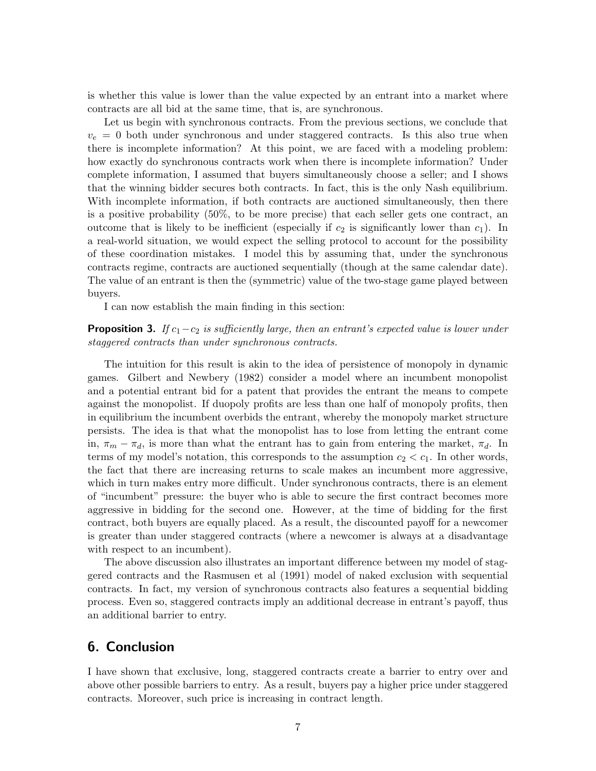is whether this value is lower than the value expected by an entrant into a market where contracts are all bid at the same time, that is, are synchronous.

Let us begin with synchronous contracts. From the previous sections, we conclude that  $v_e = 0$  both under synchronous and under staggered contracts. Is this also true when there is incomplete information? At this point, we are faced with a modeling problem: how exactly do synchronous contracts work when there is incomplete information? Under complete information, I assumed that buyers simultaneously choose a seller; and I shows that the winning bidder secures both contracts. In fact, this is the only Nash equilibrium. With incomplete information, if both contracts are auctioned simultaneously, then there is a positive probability (50%, to be more precise) that each seller gets one contract, an outcome that is likely to be inefficient (especially if  $c_2$  is significantly lower than  $c_1$ ). In a real-world situation, we would expect the selling protocol to account for the possibility of these coordination mistakes. I model this by assuming that, under the synchronous contracts regime, contracts are auctioned sequentially (though at the same calendar date). The value of an entrant is then the (symmetric) value of the two-stage game played between buyers.

I can now establish the main finding in this section:

#### **Proposition 3.** If  $c_1 - c_2$  is sufficiently large, then an entrant's expected value is lower under staggered contracts than under synchronous contracts.

The intuition for this result is akin to the idea of persistence of monopoly in dynamic games. Gilbert and Newbery (1982) consider a model where an incumbent monopolist and a potential entrant bid for a patent that provides the entrant the means to compete against the monopolist. If duopoly profits are less than one half of monopoly profits, then in equilibrium the incumbent overbids the entrant, whereby the monopoly market structure persists. The idea is that what the monopolist has to lose from letting the entrant come in,  $\pi_m - \pi_d$ , is more than what the entrant has to gain from entering the market,  $\pi_d$ . In terms of my model's notation, this corresponds to the assumption  $c_2 < c_1$ . In other words, the fact that there are increasing returns to scale makes an incumbent more aggressive, which in turn makes entry more difficult. Under synchronous contracts, there is an element of "incumbent" pressure: the buyer who is able to secure the first contract becomes more aggressive in bidding for the second one. However, at the time of bidding for the first contract, both buyers are equally placed. As a result, the discounted payoff for a newcomer is greater than under staggered contracts (where a newcomer is always at a disadvantage with respect to an incumbent).

The above discussion also illustrates an important difference between my model of staggered contracts and the Rasmusen et al (1991) model of naked exclusion with sequential contracts. In fact, my version of synchronous contracts also features a sequential bidding process. Even so, staggered contracts imply an additional decrease in entrant's payoff, thus an additional barrier to entry.

## 6. Conclusion

I have shown that exclusive, long, staggered contracts create a barrier to entry over and above other possible barriers to entry. As a result, buyers pay a higher price under staggered contracts. Moreover, such price is increasing in contract length.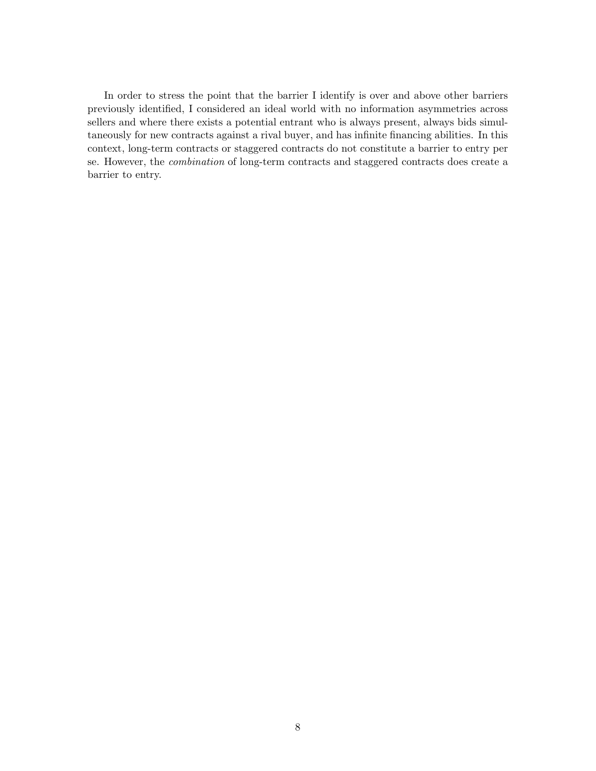In order to stress the point that the barrier I identify is over and above other barriers previously identified, I considered an ideal world with no information asymmetries across sellers and where there exists a potential entrant who is always present, always bids simultaneously for new contracts against a rival buyer, and has infinite financing abilities. In this context, long-term contracts or staggered contracts do not constitute a barrier to entry per se. However, the combination of long-term contracts and staggered contracts does create a barrier to entry.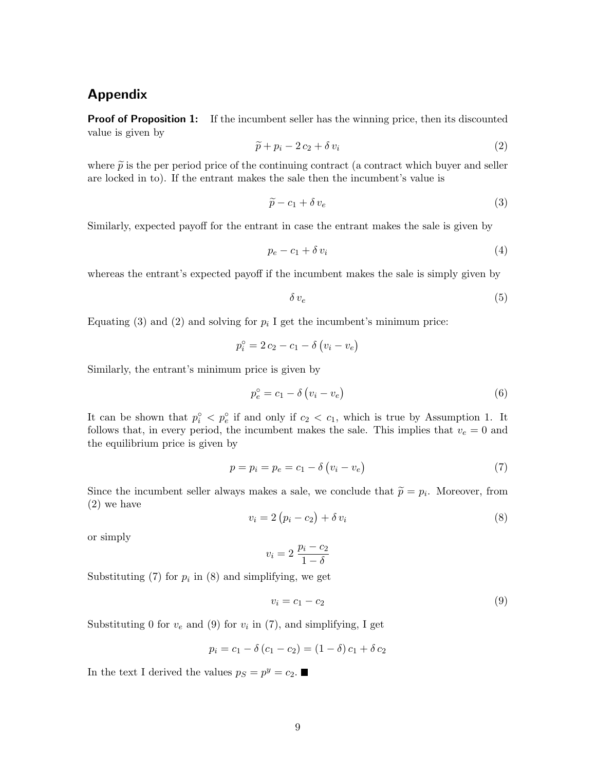## Appendix

**Proof of Proposition 1:** If the incumbent seller has the winning price, then its discounted value is given by

$$
\widetilde{p} + p_i - 2c_2 + \delta v_i \tag{2}
$$

where  $\tilde{p}$  is the per period price of the continuing contract (a contract which buyer and seller are locked in to). If the entrant makes the sale then the incumbent's value is

$$
\widetilde{p} - c_1 + \delta v_e \tag{3}
$$

Similarly, expected payoff for the entrant in case the entrant makes the sale is given by

$$
p_e - c_1 + \delta v_i \tag{4}
$$

whereas the entrant's expected payoff if the incumbent makes the sale is simply given by

$$
\delta v_e \tag{5}
$$

Equating (3) and (2) and solving for  $p_i$  I get the incumbent's minimum price:

$$
p_i^\circ = 2 c_2 - c_1 - \delta (v_i - v_e)
$$

Similarly, the entrant's minimum price is given by

$$
p_e^{\circ} = c_1 - \delta \left( v_i - v_e \right) \tag{6}
$$

It can be shown that  $p_i^{\circ} < p_e^{\circ}$  if and only if  $c_2 < c_1$ , which is true by Assumption 1. It follows that, in every period, the incumbent makes the sale. This implies that  $v_e = 0$  and the equilibrium price is given by

$$
p = p_i = p_e = c_1 - \delta \left( v_i - v_e \right) \tag{7}
$$

Since the incumbent seller always makes a sale, we conclude that  $\tilde{p} = p_i$ . Moreover, from (2) we have (2) we have

$$
v_i = 2(p_i - c_2) + \delta v_i \tag{8}
$$

or simply

$$
v_i = 2 \frac{p_i - c_2}{1 - \delta}
$$

Substituting  $(7)$  for  $p_i$  in  $(8)$  and simplifying, we get

$$
v_i = c_1 - c_2 \tag{9}
$$

Substituting 0 for  $v_e$  and (9) for  $v_i$  in (7), and simplifying, I get

$$
p_i = c_1 - \delta (c_1 - c_2) = (1 - \delta) c_1 + \delta c_2
$$

In the text I derived the values  $p_S = p^y = c_2$ .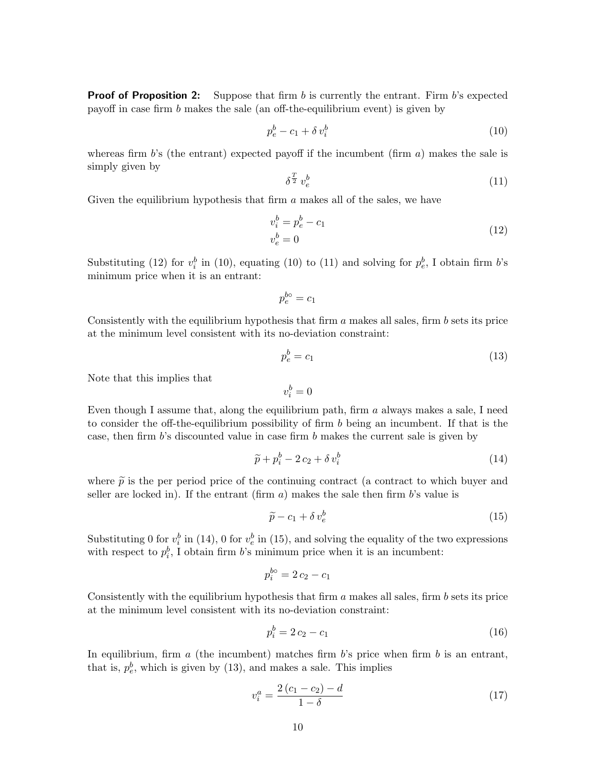**Proof of Proposition 2:** Suppose that firm b is currently the entrant. Firm b's expected payoff in case firm b makes the sale (an off-the-equilibrium event) is given by

$$
p_e^b - c_1 + \delta v_i^b \tag{10}
$$

whereas firm b's (the entrant) expected payoff if the incumbent (firm a) makes the sale is simply given by

$$
\delta^{\frac{T}{2}} v_e^b \tag{11}
$$

Given the equilibrium hypothesis that firm  $\alpha$  makes all of the sales, we have

$$
v_i^b = p_e^b - c_1
$$
  
\n
$$
v_e^b = 0
$$
\n(12)

Substituting (12) for  $v_i^b$  in (10), equating (10) to (11) and solving for  $p_e^b$ , I obtain firm b's minimum price when it is an entrant:

$$
p_e^{bo} = c_1
$$

Consistently with the equilibrium hypothesis that firm  $a$  makes all sales, firm  $b$  sets its price at the minimum level consistent with its no-deviation constraint:

$$
p_e^b = c_1 \tag{13}
$$

Note that this implies that

$$
v_i^b = 0
$$

Even though I assume that, along the equilibrium path, firm  $a$  always makes a sale, I need to consider the off-the-equilibrium possibility of firm b being an incumbent. If that is the case, then firm b's discounted value in case firm b makes the current sale is given by

$$
\widetilde{p} + p_i^b - 2c_2 + \delta v_i^b \tag{14}
$$

where  $\tilde{p}$  is the per period price of the continuing contract (a contract to which buyer and seller are locked in). If the entrant  $(\text{firm } a)$  makes the sale then firm b's value is

$$
\widetilde{p} - c_1 + \delta v_e^b \tag{15}
$$

Substituting 0 for  $v_i^b$  in (14), 0 for  $v_e^b$  in (15), and solving the equality of the two expressions with respect to  $p_i^b$ , I obtain firm b's minimum price when it is an incumbent:

$$
p_i^{bo} = 2c_2 - c_1
$$

Consistently with the equilibrium hypothesis that firm  $a$  makes all sales, firm  $b$  sets its price at the minimum level consistent with its no-deviation constraint:

$$
p_i^b = 2c_2 - c_1 \tag{16}
$$

In equilibrium, firm  $a$  (the incumbent) matches firm  $b$ 's price when firm  $b$  is an entrant, that is,  $p_e^b$ , which is given by (13), and makes a sale. This implies

$$
v_i^a = \frac{2(c_1 - c_2) - d}{1 - \delta} \tag{17}
$$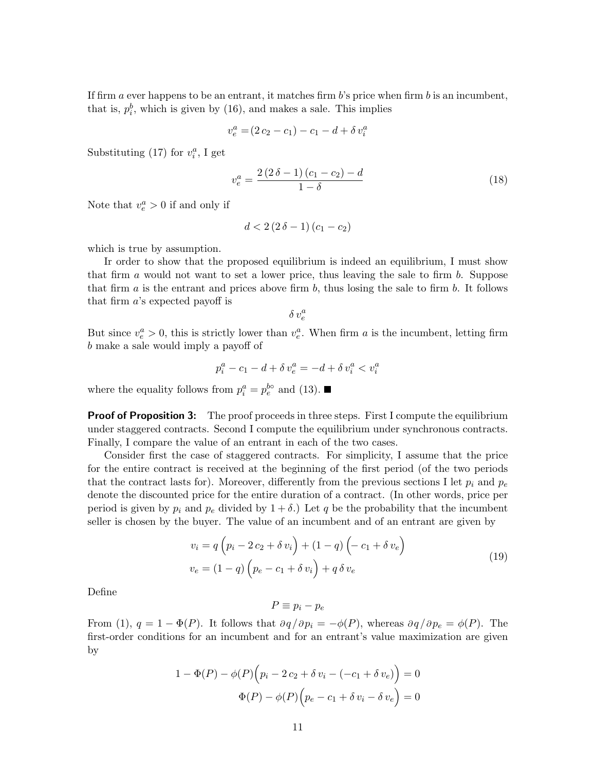If firm  $a$  ever happens to be an entrant, it matches firm  $b$ 's price when firm  $b$  is an incumbent, that is,  $p_i^b$ , which is given by (16), and makes a sale. This implies

$$
v_e^a = (2c_2 - c_1) - c_1 - d + \delta v_i^a
$$

Substituting (17) for  $v_i^a$ , I get

$$
v_e^a = \frac{2(2\,\delta - 1)(c_1 - c_2) - d}{1 - \delta} \tag{18}
$$

Note that  $v_e^a > 0$  if and only if

$$
d<2(2\delta-1)(c_1-c_2)
$$

which is true by assumption.

Ir order to show that the proposed equilibrium is indeed an equilibrium, I must show that firm a would not want to set a lower price, thus leaving the sale to firm  $b$ . Suppose that firm  $a$  is the entrant and prices above firm  $b$ , thus losing the sale to firm  $b$ . It follows that firm a's expected payoff is

$$
\delta\,v_e^a
$$

But since  $v_e^a > 0$ , this is strictly lower than  $v_e^a$ . When firm a is the incumbent, letting firm b make a sale would imply a payoff of

$$
p_i^a - c_1 - d + \delta v_e^a = -d + \delta v_i^a < v_i^a
$$

where the equality follows from  $p_i^a = p_e^{bo}$  and (13).

**Proof of Proposition 3:** The proof proceeds in three steps. First I compute the equilibrium under staggered contracts. Second I compute the equilibrium under synchronous contracts. Finally, I compare the value of an entrant in each of the two cases.

Consider first the case of staggered contracts. For simplicity, I assume that the price for the entire contract is received at the beginning of the first period (of the two periods that the contract lasts for). Moreover, differently from the previous sections I let  $p_i$  and  $p_e$ denote the discounted price for the entire duration of a contract. (In other words, price per period is given by  $p_i$  and  $p_e$  divided by  $1 + \delta$ .) Let q be the probability that the incumbent seller is chosen by the buyer. The value of an incumbent and of an entrant are given by

$$
v_i = q \left( p_i - 2 c_2 + \delta v_i \right) + (1 - q) \left( -c_1 + \delta v_e \right)
$$
  

$$
v_e = (1 - q) \left( p_e - c_1 + \delta v_i \right) + q \delta v_e
$$
 (19)

Define

$$
P \equiv p_i - p_e
$$

From (1),  $q = 1 - \Phi(P)$ . It follows that  $\partial q / \partial p_i = -\phi(P)$ , whereas  $\partial q / \partial p_e = \phi(P)$ . The first-order conditions for an incumbent and for an entrant's value maximization are given by

$$
1 - \Phi(P) - \phi(P)\left(p_i - 2c_2 + \delta v_i - (-c_1 + \delta v_e)\right) = 0
$$

$$
\Phi(P) - \phi(P)\left(p_e - c_1 + \delta v_i - \delta v_e\right) = 0
$$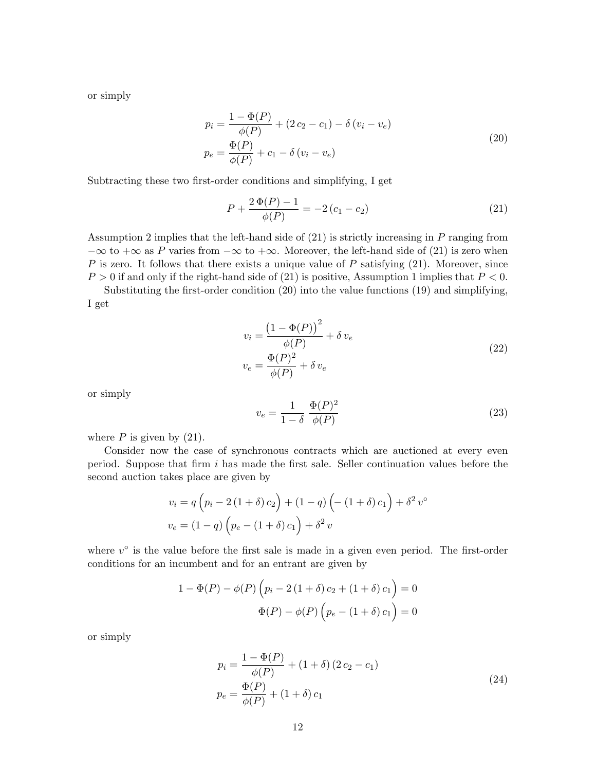or simply

$$
p_i = \frac{1 - \Phi(P)}{\phi(P)} + (2 c_2 - c_1) - \delta (v_i - v_e)
$$
  
\n
$$
p_e = \frac{\Phi(P)}{\phi(P)} + c_1 - \delta (v_i - v_e)
$$
\n(20)

Subtracting these two first-order conditions and simplifying, I get

$$
P + \frac{2\,\Phi(P) - 1}{\phi(P)} = -2\,(c_1 - c_2) \tag{21}
$$

Assumption 2 implies that the left-hand side of (21) is strictly increasing in P ranging from  $-\infty$  to  $+\infty$  as P varies from  $-\infty$  to  $+\infty$ . Moreover, the left-hand side of (21) is zero when P is zero. It follows that there exists a unique value of P satisfying  $(21)$ . Moreover, since  $P > 0$  if and only if the right-hand side of (21) is positive, Assumption 1 implies that  $P < 0$ .

Substituting the first-order condition (20) into the value functions (19) and simplifying, I get

$$
v_i = \frac{\left(1 - \Phi(P)\right)^2}{\phi(P)} + \delta v_e
$$
  

$$
v_e = \frac{\Phi(P)^2}{\phi(P)} + \delta v_e
$$
 (22)

or simply

$$
v_e = \frac{1}{1 - \delta} \frac{\Phi(P)^2}{\phi(P)}\tag{23}
$$

where  $P$  is given by  $(21)$ .

Consider now the case of synchronous contracts which are auctioned at every even period. Suppose that firm i has made the first sale. Seller continuation values before the second auction takes place are given by

$$
v_i = q \left( p_i - 2 \left( 1 + \delta \right) c_2 \right) + \left( 1 - q \right) \left( - \left( 1 + \delta \right) c_1 \right) + \delta^2 v^{\circ}
$$

$$
v_e = \left( 1 - q \right) \left( p_e - \left( 1 + \delta \right) c_1 \right) + \delta^2 v
$$

where  $v^{\circ}$  is the value before the first sale is made in a given even period. The first-order conditions for an incumbent and for an entrant are given by

$$
1 - \Phi(P) - \phi(P) \left( p_i - 2 (1 + \delta) c_2 + (1 + \delta) c_1 \right) = 0
$$
  

$$
\Phi(P) - \phi(P) \left( p_e - (1 + \delta) c_1 \right) = 0
$$

or simply

$$
p_i = \frac{1 - \Phi(P)}{\phi(P)} + (1 + \delta) (2 c_2 - c_1)
$$
  
\n
$$
p_e = \frac{\Phi(P)}{\phi(P)} + (1 + \delta) c_1
$$
\n(24)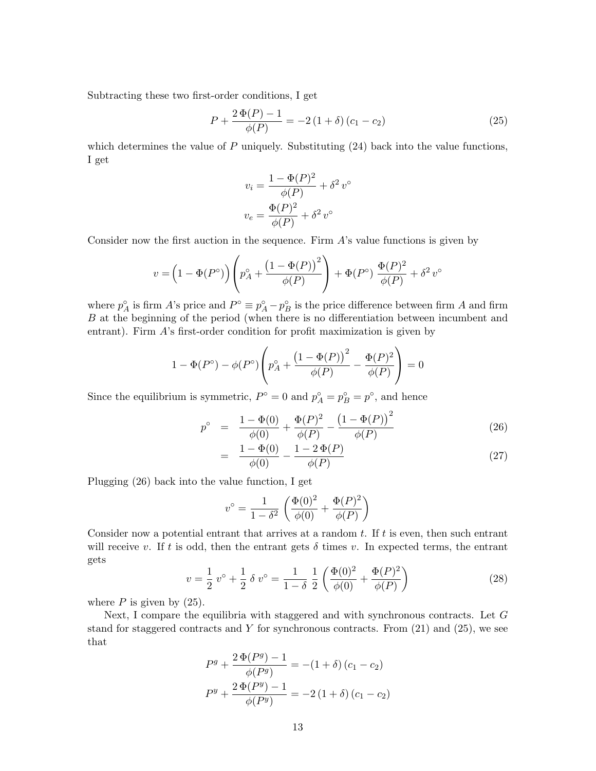Subtracting these two first-order conditions, I get

$$
P + \frac{2\,\Phi(P) - 1}{\phi(P)} = -2\,(1 + \delta)\,(c_1 - c_2) \tag{25}
$$

which determines the value of  $P$  uniquely. Substituting  $(24)$  back into the value functions, I get

$$
v_i = \frac{1 - \Phi(P)^2}{\phi(P)} + \delta^2 v^{\circ}
$$

$$
v_e = \frac{\Phi(P)^2}{\phi(P)} + \delta^2 v^{\circ}
$$

Consider now the first auction in the sequence. Firm  $A$ 's value functions is given by

$$
v = \left(1 - \Phi(P^{\circ})\right) \left(p_A^{\circ} + \frac{\left(1 - \Phi(P)\right)^2}{\phi(P)}\right) + \Phi(P^{\circ}) \frac{\Phi(P)^2}{\phi(P)} + \delta^2 v^{\circ}
$$

where  $p_A^{\circ}$  is firm A's price and  $P^{\circ} \equiv p_A^{\circ} - p_B^{\circ}$  is the price difference between firm A and firm B at the beginning of the period (when there is no differentiation between incumbent and entrant). Firm A's first-order condition for profit maximization is given by

$$
1 - \Phi(P^{\circ}) - \phi(P^{\circ}) \left( p_A^{\circ} + \frac{\left(1 - \Phi(P)\right)^2}{\phi(P)} - \frac{\Phi(P)^2}{\phi(P)} \right) = 0
$$

Since the equilibrium is symmetric,  $P^{\circ} = 0$  and  $p_A^{\circ} = p_B^{\circ} = p^{\circ}$ , and hence

$$
p^{\circ} = \frac{1 - \Phi(0)}{\phi(0)} + \frac{\Phi(P)^2}{\phi(P)} - \frac{(1 - \Phi(P))^2}{\phi(P)}
$$
(26)

$$
= \frac{1 - \Phi(0)}{\phi(0)} - \frac{1 - 2\Phi(P)}{\phi(P)}
$$
\n(27)

Plugging (26) back into the value function, I get

$$
v^{\circ} = \frac{1}{1 - \delta^{2}} \left( \frac{\Phi(0)^{2}}{\phi(0)} + \frac{\Phi(P)^{2}}{\phi(P)} \right)
$$

Consider now a potential entrant that arrives at a random  $t$ . If  $t$  is even, then such entrant will receive v. If t is odd, then the entrant gets  $\delta$  times v. In expected terms, the entrant gets

$$
v = \frac{1}{2} v^{\circ} + \frac{1}{2} \delta v^{\circ} = \frac{1}{1 - \delta} \frac{1}{2} \left( \frac{\Phi(0)^2}{\phi(0)} + \frac{\Phi(P)^2}{\phi(P)} \right)
$$
(28)

where  $P$  is given by  $(25)$ .

Next, I compare the equilibria with staggered and with synchronous contracts. Let G stand for staggered contracts and Y for synchronous contracts. From  $(21)$  and  $(25)$ , we see that

$$
P^{g} + \frac{2 \Phi(P^{g}) - 1}{\phi(P^{g})} = -(1 + \delta) (c_1 - c_2)
$$
  

$$
P^{y} + \frac{2 \Phi(P^{y}) - 1}{\phi(P^{y})} = -2 (1 + \delta) (c_1 - c_2)
$$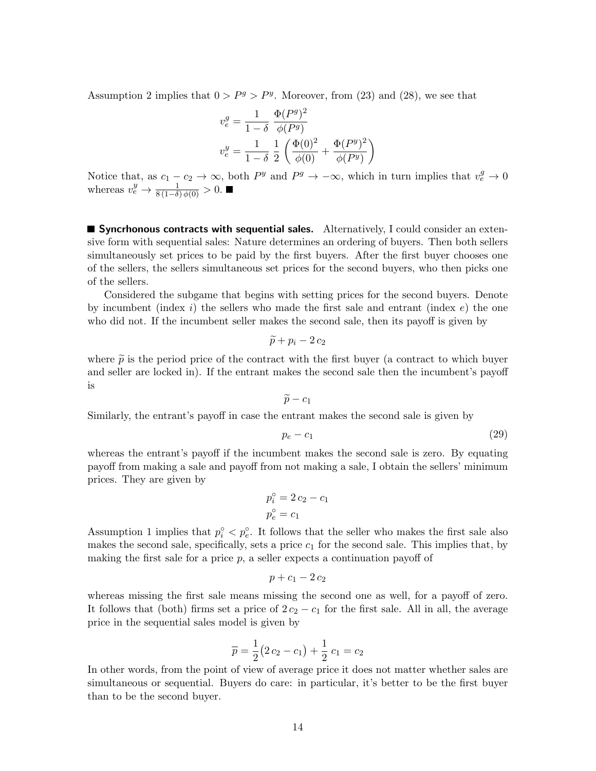Assumption 2 implies that  $0 > P^g > P^y$ . Moreover, from (23) and (28), we see that

$$
v_e^g = \frac{1}{1-\delta} \frac{\Phi(P^g)^2}{\phi(P^g)}
$$
  

$$
v_e^y = \frac{1}{1-\delta} \frac{1}{2} \left( \frac{\Phi(0)^2}{\phi(0)} + \frac{\Phi(P^y)^2}{\phi(P^y)} \right)
$$

Notice that, as  $c_1 - c_2 \to \infty$ , both  $P^y$  and  $P^g \to -\infty$ , which in turn implies that  $v_e^g \to 0$ whereas  $v_e^y \rightarrow \frac{1}{8(1-\delta)\phi(0)} > 0$ .

**Syncrhonous contracts with sequential sales.** Alternatively, I could consider an extensive form with sequential sales: Nature determines an ordering of buyers. Then both sellers simultaneously set prices to be paid by the first buyers. After the first buyer chooses one of the sellers, the sellers simultaneous set prices for the second buyers, who then picks one of the sellers.

Considered the subgame that begins with setting prices for the second buyers. Denote by incumbent (index i) the sellers who made the first sale and entrant (index  $e$ ) the one who did not. If the incumbent seller makes the second sale, then its payoff is given by

$$
\widetilde{p}+p_i-2\,c_2
$$

where  $\tilde{p}$  is the period price of the contract with the first buyer (a contract to which buyer and seller are locked in). If the entrant makes the second sale then the incumbent's payoff is

$$
\widetilde{p}-c_1
$$

Similarly, the entrant's payoff in case the entrant makes the second sale is given by

$$
p_e - c_1 \tag{29}
$$

whereas the entrant's payoff if the incumbent makes the second sale is zero. By equating payoff from making a sale and payoff from not making a sale, I obtain the sellers' minimum prices. They are given by

$$
p_i^\circ = 2 c_2 - c_1
$$

$$
p_e^\circ = c_1
$$

Assumption 1 implies that  $p_i^{\circ} < p_e^{\circ}$ . It follows that the seller who makes the first sale also makes the second sale, specifically, sets a price  $c<sub>1</sub>$  for the second sale. This implies that, by making the first sale for a price  $p$ , a seller expects a continuation payoff of

$$
p+c_1-2c_2
$$

whereas missing the first sale means missing the second one as well, for a payoff of zero. It follows that (both) firms set a price of  $2c_2 - c_1$  for the first sale. All in all, the average price in the sequential sales model is given by

$$
\overline{p} = \frac{1}{2}(2c_2 - c_1) + \frac{1}{2}c_1 = c_2
$$

In other words, from the point of view of average price it does not matter whether sales are simultaneous or sequential. Buyers do care: in particular, it's better to be the first buyer than to be the second buyer.